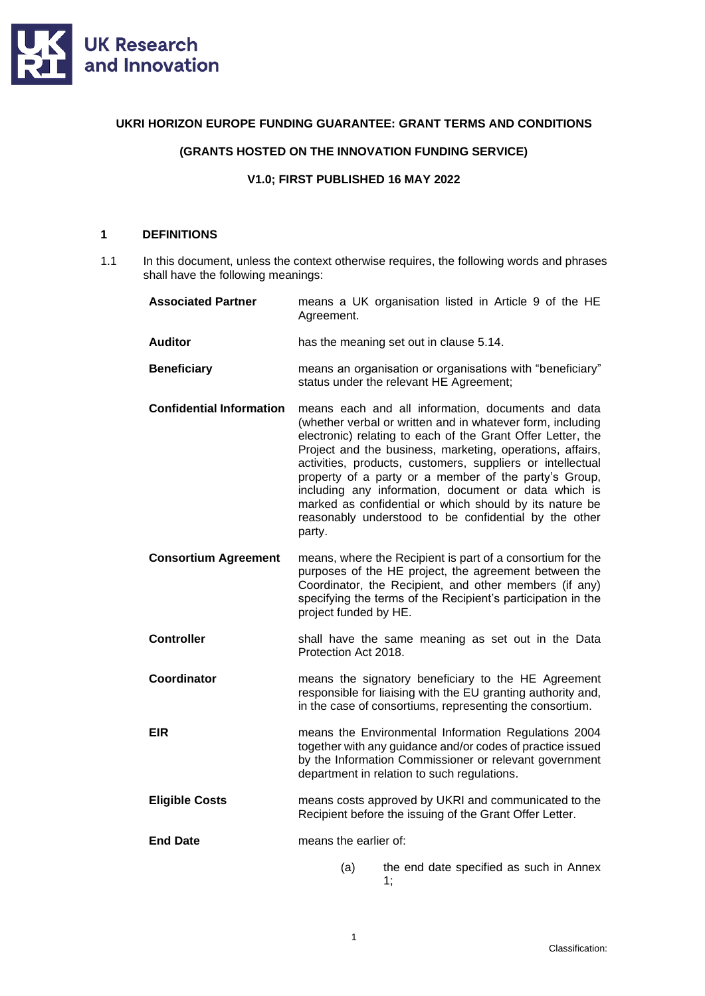

### **UKRI HORIZON EUROPE FUNDING GUARANTEE: GRANT TERMS AND CONDITIONS**

# **(GRANTS HOSTED ON THE INNOVATION FUNDING SERVICE)**

#### **V1.0; FIRST PUBLISHED 16 MAY 2022**

### **1 DEFINITIONS**

1.1 In this document, unless the context otherwise requires, the following words and phrases shall have the following meanings:

| <b>Associated Partner</b>       | means a UK organisation listed in Article 9 of the HE<br>Agreement.                                                                                                                                                                                                                                                                                                                                                                                                                                                                                       |  |
|---------------------------------|-----------------------------------------------------------------------------------------------------------------------------------------------------------------------------------------------------------------------------------------------------------------------------------------------------------------------------------------------------------------------------------------------------------------------------------------------------------------------------------------------------------------------------------------------------------|--|
| <b>Auditor</b>                  | has the meaning set out in clause 5.14.                                                                                                                                                                                                                                                                                                                                                                                                                                                                                                                   |  |
| <b>Beneficiary</b>              | means an organisation or organisations with "beneficiary"<br>status under the relevant HE Agreement;                                                                                                                                                                                                                                                                                                                                                                                                                                                      |  |
| <b>Confidential Information</b> | means each and all information, documents and data<br>(whether verbal or written and in whatever form, including<br>electronic) relating to each of the Grant Offer Letter, the<br>Project and the business, marketing, operations, affairs,<br>activities, products, customers, suppliers or intellectual<br>property of a party or a member of the party's Group,<br>including any information, document or data which is<br>marked as confidential or which should by its nature be<br>reasonably understood to be confidential by the other<br>party. |  |
| <b>Consortium Agreement</b>     | means, where the Recipient is part of a consortium for the<br>purposes of the HE project, the agreement between the<br>Coordinator, the Recipient, and other members (if any)<br>specifying the terms of the Recipient's participation in the<br>project funded by HE.                                                                                                                                                                                                                                                                                    |  |
| <b>Controller</b>               | shall have the same meaning as set out in the Data<br>Protection Act 2018.                                                                                                                                                                                                                                                                                                                                                                                                                                                                                |  |
| Coordinator                     | means the signatory beneficiary to the HE Agreement<br>responsible for liaising with the EU granting authority and,<br>in the case of consortiums, representing the consortium.                                                                                                                                                                                                                                                                                                                                                                           |  |
| EIR                             | means the Environmental Information Regulations 2004<br>together with any guidance and/or codes of practice issued<br>by the Information Commissioner or relevant government<br>department in relation to such regulations.                                                                                                                                                                                                                                                                                                                               |  |
| <b>Eligible Costs</b>           | means costs approved by UKRI and communicated to the<br>Recipient before the issuing of the Grant Offer Letter.                                                                                                                                                                                                                                                                                                                                                                                                                                           |  |
| <b>End Date</b>                 | means the earlier of:                                                                                                                                                                                                                                                                                                                                                                                                                                                                                                                                     |  |
|                                 | (a)<br>the end date specified as such in Annex<br>1;                                                                                                                                                                                                                                                                                                                                                                                                                                                                                                      |  |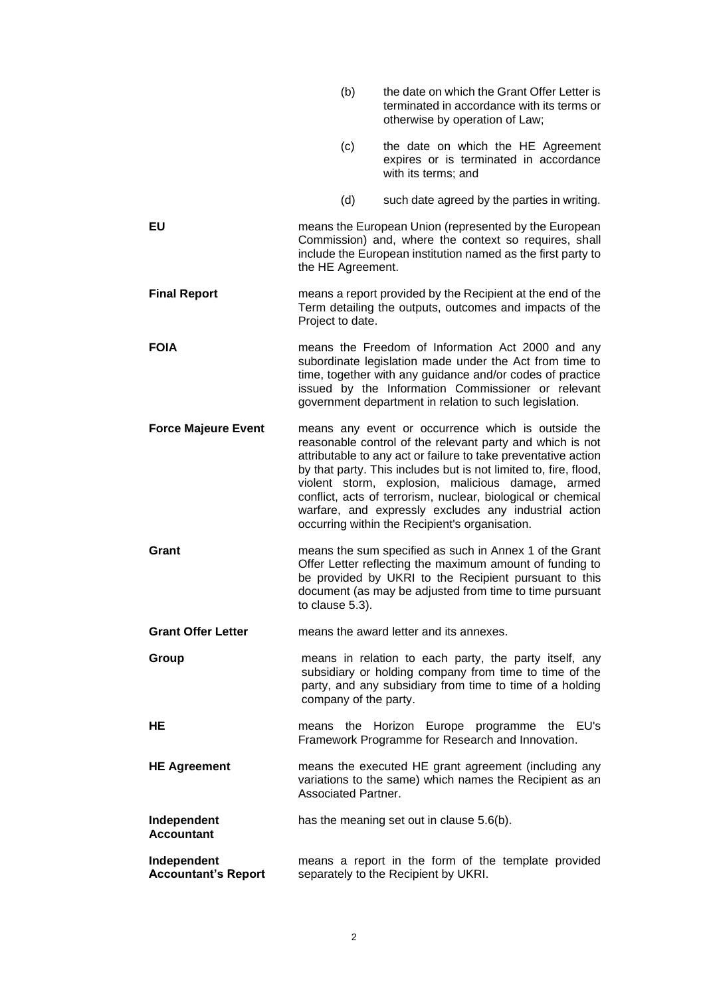|                                           | (b)                        | the date on which the Grant Offer Letter is<br>terminated in accordance with its terms or<br>otherwise by operation of Law;                                                                                                                                                                                                                                                                                                                                                           |
|-------------------------------------------|----------------------------|---------------------------------------------------------------------------------------------------------------------------------------------------------------------------------------------------------------------------------------------------------------------------------------------------------------------------------------------------------------------------------------------------------------------------------------------------------------------------------------|
|                                           | (c)                        | the date on which the HE Agreement<br>expires or is terminated in accordance<br>with its terms; and                                                                                                                                                                                                                                                                                                                                                                                   |
|                                           | (d)                        | such date agreed by the parties in writing.                                                                                                                                                                                                                                                                                                                                                                                                                                           |
| EU                                        | the HE Agreement.          | means the European Union (represented by the European<br>Commission) and, where the context so requires, shall<br>include the European institution named as the first party to                                                                                                                                                                                                                                                                                                        |
| <b>Final Report</b>                       | Project to date.           | means a report provided by the Recipient at the end of the<br>Term detailing the outputs, outcomes and impacts of the                                                                                                                                                                                                                                                                                                                                                                 |
| <b>FOIA</b>                               |                            | means the Freedom of Information Act 2000 and any<br>subordinate legislation made under the Act from time to<br>time, together with any guidance and/or codes of practice<br>issued by the Information Commissioner or relevant<br>government department in relation to such legislation.                                                                                                                                                                                             |
| <b>Force Majeure Event</b>                |                            | means any event or occurrence which is outside the<br>reasonable control of the relevant party and which is not<br>attributable to any act or failure to take preventative action<br>by that party. This includes but is not limited to, fire, flood,<br>violent storm, explosion, malicious damage, armed<br>conflict, acts of terrorism, nuclear, biological or chemical<br>warfare, and expressly excludes any industrial action<br>occurring within the Recipient's organisation. |
| Grant                                     | to clause 5.3).            | means the sum specified as such in Annex 1 of the Grant<br>Offer Letter reflecting the maximum amount of funding to<br>be provided by UKRI to the Recipient pursuant to this<br>document (as may be adjusted from time to time pursuant                                                                                                                                                                                                                                               |
| <b>Grant Offer Letter</b>                 |                            | means the award letter and its annexes.                                                                                                                                                                                                                                                                                                                                                                                                                                               |
| Group                                     | company of the party.      | means in relation to each party, the party itself, any<br>subsidiary or holding company from time to time of the<br>party, and any subsidiary from time to time of a holding                                                                                                                                                                                                                                                                                                          |
| HЕ                                        | means the                  | Horizon Europe programme the EU's<br>Framework Programme for Research and Innovation.                                                                                                                                                                                                                                                                                                                                                                                                 |
| <b>HE Agreement</b>                       | <b>Associated Partner.</b> | means the executed HE grant agreement (including any<br>variations to the same) which names the Recipient as an                                                                                                                                                                                                                                                                                                                                                                       |
| Independent<br><b>Accountant</b>          |                            | has the meaning set out in clause 5.6(b).                                                                                                                                                                                                                                                                                                                                                                                                                                             |
| Independent<br><b>Accountant's Report</b> |                            | means a report in the form of the template provided<br>separately to the Recipient by UKRI.                                                                                                                                                                                                                                                                                                                                                                                           |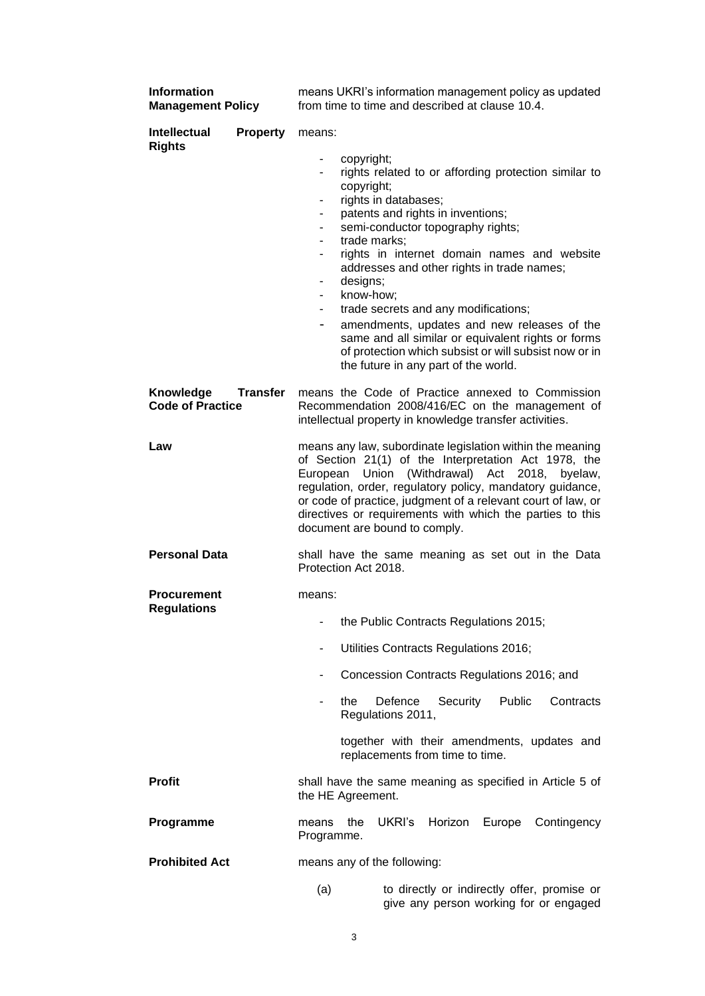| <b>Information</b><br><b>Management Policy</b> |                 | means UKRI's information management policy as updated<br>from time to time and described at clause 10.4.                                                                                                                                                                                                                                                                                                                                                                                                                                                                                                                                                                                                               |  |  |
|------------------------------------------------|-----------------|------------------------------------------------------------------------------------------------------------------------------------------------------------------------------------------------------------------------------------------------------------------------------------------------------------------------------------------------------------------------------------------------------------------------------------------------------------------------------------------------------------------------------------------------------------------------------------------------------------------------------------------------------------------------------------------------------------------------|--|--|
| <b>Intellectual</b><br><b>Rights</b>           | <b>Property</b> | means:<br>copyright;<br>$\blacksquare$<br>rights related to or affording protection similar to<br>۰<br>copyright;<br>rights in databases;<br>$\qquad \qquad \blacksquare$<br>patents and rights in inventions;<br>۰<br>semi-conductor topography rights;<br>٠<br>trade marks:<br>rights in internet domain names and website<br>addresses and other rights in trade names;<br>designs;<br>۰<br>know-how;<br>$\blacksquare$<br>trade secrets and any modifications;<br>$\blacksquare$<br>amendments, updates and new releases of the<br>$\overline{\phantom{a}}$<br>same and all similar or equivalent rights or forms<br>of protection which subsist or will subsist now or in<br>the future in any part of the world. |  |  |
| Knowledge<br><b>Code of Practice</b>           | <b>Transfer</b> | means the Code of Practice annexed to Commission<br>Recommendation 2008/416/EC on the management of<br>intellectual property in knowledge transfer activities.                                                                                                                                                                                                                                                                                                                                                                                                                                                                                                                                                         |  |  |
| Law                                            |                 | means any law, subordinate legislation within the meaning<br>of Section 21(1) of the Interpretation Act 1978, the<br>European Union (Withdrawal) Act 2018,<br>byelaw,<br>regulation, order, regulatory policy, mandatory guidance,<br>or code of practice, judgment of a relevant court of law, or<br>directives or requirements with which the parties to this<br>document are bound to comply.                                                                                                                                                                                                                                                                                                                       |  |  |
| <b>Personal Data</b>                           |                 | shall have the same meaning as set out in the Data<br>Protection Act 2018.                                                                                                                                                                                                                                                                                                                                                                                                                                                                                                                                                                                                                                             |  |  |
| <b>Procurement</b><br><b>Regulations</b>       |                 | means:<br>the Public Contracts Regulations 2015;<br>Utilities Contracts Regulations 2016;<br>۰<br>Concession Contracts Regulations 2016; and<br>$\overline{\phantom{a}}$<br>Defence<br>Security<br>Public<br>Contracts<br>the<br>Regulations 2011,<br>together with their amendments, updates and<br>replacements from time to time.                                                                                                                                                                                                                                                                                                                                                                                   |  |  |
| <b>Profit</b>                                  |                 | shall have the same meaning as specified in Article 5 of<br>the HE Agreement.                                                                                                                                                                                                                                                                                                                                                                                                                                                                                                                                                                                                                                          |  |  |
| Programme                                      |                 | UKRI's<br>Horizon<br>Europe<br>Contingency<br>the<br>means<br>Programme.                                                                                                                                                                                                                                                                                                                                                                                                                                                                                                                                                                                                                                               |  |  |
| <b>Prohibited Act</b>                          |                 | means any of the following:                                                                                                                                                                                                                                                                                                                                                                                                                                                                                                                                                                                                                                                                                            |  |  |
|                                                |                 | to directly or indirectly offer, promise or<br>(a)<br>give any person working for or engaged                                                                                                                                                                                                                                                                                                                                                                                                                                                                                                                                                                                                                           |  |  |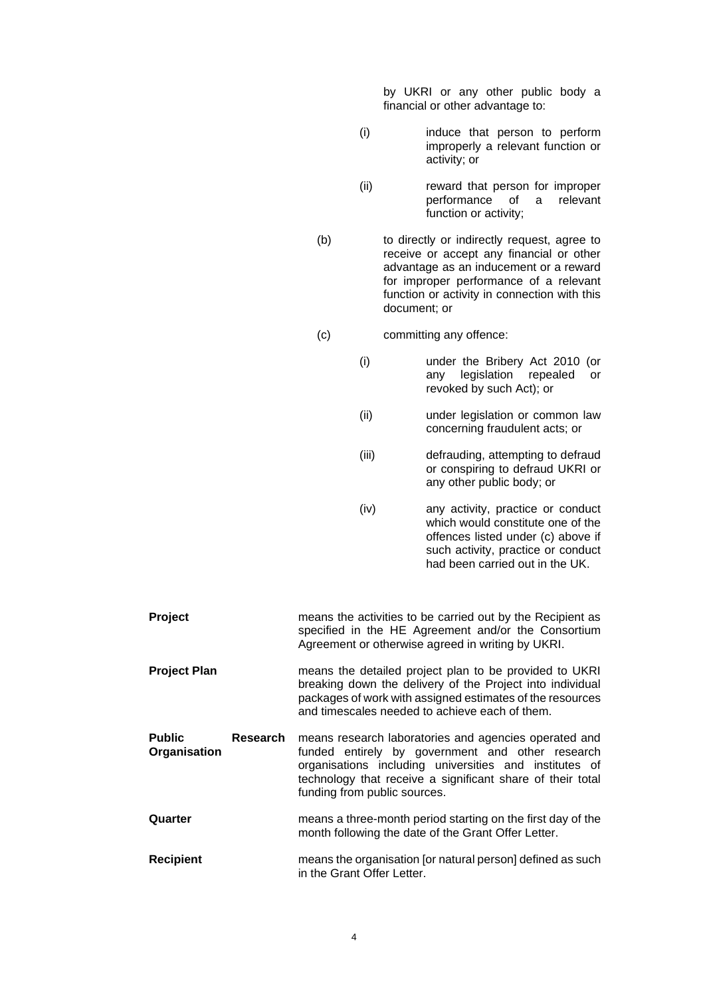by UKRI or any other public body a financial or other advantage to:

- (i) induce that person to perform improperly a relevant function or activity; or
- (ii) reward that person for improper performance of a relevant function or activity;
- (b) to directly or indirectly request, agree to receive or accept any financial or other advantage as an inducement or a reward for improper performance of a relevant function or activity in connection with this document; or
- (c) committing any offence:
	- (i) under the Bribery Act 2010 (or any legislation repealed or revoked by such Act); or
	- (ii) under legislation or common law concerning fraudulent acts; or
	- (iii) defrauding, attempting to defraud or conspiring to defraud UKRI or any other public body; or
	- (iv) any activity, practice or conduct which would constitute one of the offences listed under (c) above if such activity, practice or conduct had been carried out in the UK.
- **Project** means the activities to be carried out by the Recipient as specified in the HE Agreement and/or the Consortium Agreement or otherwise agreed in writing by UKRI. **Project Plan** means the detailed project plan to be provided to UKRI breaking down the delivery of the Project into individual packages of work with assigned estimates of the resources and timescales needed to achieve each of them. **Public Research Organisation** means research laboratories and agencies operated and funded entirely by government and other research organisations including universities and institutes of technology that receive a significant share of their total funding from public sources. **Quarter** means a three-month period starting on the first day of the month following the date of the Grant Offer Letter. **Recipient** means the organisation [or natural person] defined as such in the Grant Offer Letter.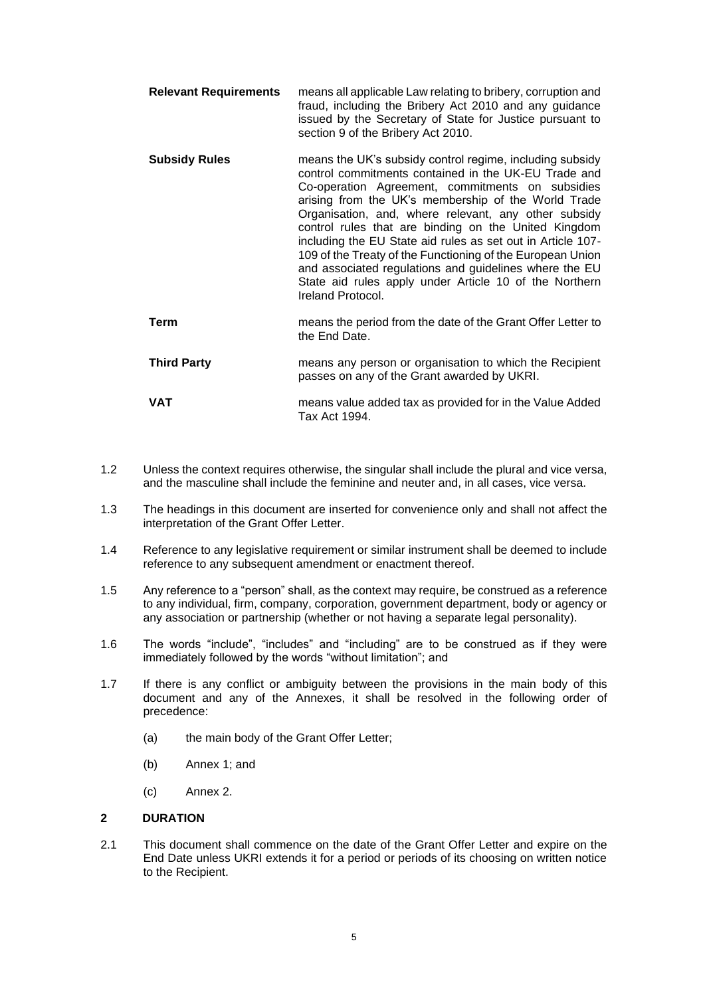- **Relevant Requirements** means all applicable Law relating to bribery, corruption and fraud, including the Bribery Act 2010 and any guidance issued by the Secretary of State for Justice pursuant to section 9 of the Bribery Act 2010.
- **Subsidy Rules** means the UK's subsidy control regime, including subsidy control commitments contained in the UK-EU Trade and Co-operation Agreement, commitments on subsidies arising from the UK's membership of the World Trade Organisation, and, where relevant, any other subsidy control rules that are binding on the United Kingdom including the EU State aid rules as set out in Article 107- 109 of the Treaty of the Functioning of the European Union and associated regulations and guidelines where the EU State aid rules apply under Article 10 of the Northern Ireland Protocol.
- **Term** means the period from the date of the Grant Offer Letter to the End Date.
- **Third Party means any person or organisation to which the Recipient** passes on any of the Grant awarded by UKRI.
- **VAT** means value added tax as provided for in the Value Added Tax Act 1994.
- 1.2 Unless the context requires otherwise, the singular shall include the plural and vice versa, and the masculine shall include the feminine and neuter and, in all cases, vice versa.
- 1.3 The headings in this document are inserted for convenience only and shall not affect the interpretation of the Grant Offer Letter.
- 1.4 Reference to any legislative requirement or similar instrument shall be deemed to include reference to any subsequent amendment or enactment thereof.
- 1.5 Any reference to a "person" shall, as the context may require, be construed as a reference to any individual, firm, company, corporation, government department, body or agency or any association or partnership (whether or not having a separate legal personality).
- 1.6 The words "include", "includes" and "including" are to be construed as if they were immediately followed by the words "without limitation"; and
- 1.7 If there is any conflict or ambiguity between the provisions in the main body of this document and any of the Annexes, it shall be resolved in the following order of precedence:
	- (a) the main body of the Grant Offer Letter;
	- (b) Annex 1; and
	- (c) Annex 2.

### **2 DURATION**

2.1 This document shall commence on the date of the Grant Offer Letter and expire on the End Date unless UKRI extends it for a period or periods of its choosing on written notice to the Recipient.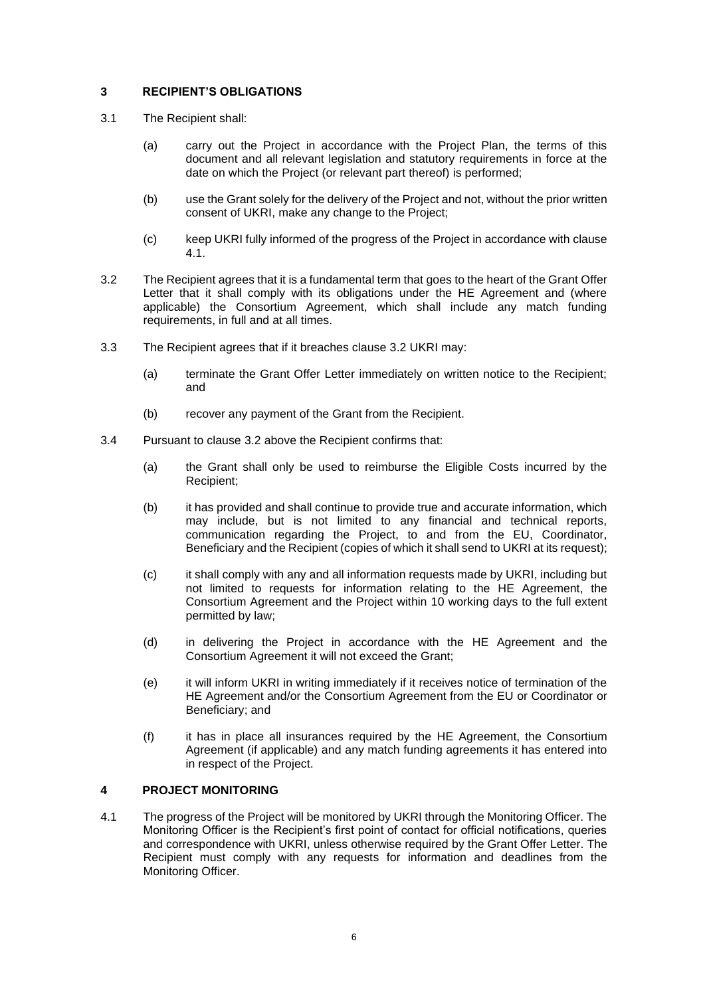# **3 RECIPIENT'S OBLIGATIONS**

- 3.1 The Recipient shall:
	- (a) carry out the Project in accordance with the Project Plan, the terms of this document and all relevant legislation and statutory requirements in force at the date on which the Project (or relevant part thereof) is performed;
	- (b) use the Grant solely for the delivery of the Project and not, without the prior written consent of UKRI, make any change to the Project;
	- (c) keep UKRI fully informed of the progress of the Project in accordance with clause [4.1.](#page-5-0)
- <span id="page-5-1"></span>3.2 The Recipient agrees that it is a fundamental term that goes to the heart of the Grant Offer Letter that it shall comply with its obligations under the HE Agreement and (where applicable) the Consortium Agreement, which shall include any match funding requirements, in full and at all times.
- 3.3 The Recipient agrees that if it breaches clause [3.2](#page-5-1) UKRI may:
	- (a) terminate the Grant Offer Letter immediately on written notice to the Recipient; and
	- (b) recover any payment of the Grant from the Recipient.
- 3.4 Pursuant to clause [3.2](#page-5-1) above the Recipient confirms that:
	- (a) the Grant shall only be used to reimburse the Eligible Costs incurred by the Recipient;
	- (b) it has provided and shall continue to provide true and accurate information, which may include, but is not limited to any financial and technical reports, communication regarding the Project, to and from the EU, Coordinator, Beneficiary and the Recipient (copies of which it shall send to UKRI at its request);
	- (c) it shall comply with any and all information requests made by UKRI, including but not limited to requests for information relating to the HE Agreement, the Consortium Agreement and the Project within 10 working days to the full extent permitted by law;
	- (d) in delivering the Project in accordance with the HE Agreement and the Consortium Agreement it will not exceed the Grant;
	- (e) it will inform UKRI in writing immediately if it receives notice of termination of the HE Agreement and/or the Consortium Agreement from the EU or Coordinator or Beneficiary; and
	- (f) it has in place all insurances required by the HE Agreement, the Consortium Agreement (if applicable) and any match funding agreements it has entered into in respect of the Project.

### **4 PROJECT MONITORING**

<span id="page-5-0"></span>4.1 The progress of the Project will be monitored by UKRI through the Monitoring Officer. The Monitoring Officer is the Recipient's first point of contact for official notifications, queries and correspondence with UKRI, unless otherwise required by the Grant Offer Letter. The Recipient must comply with any requests for information and deadlines from the Monitoring Officer.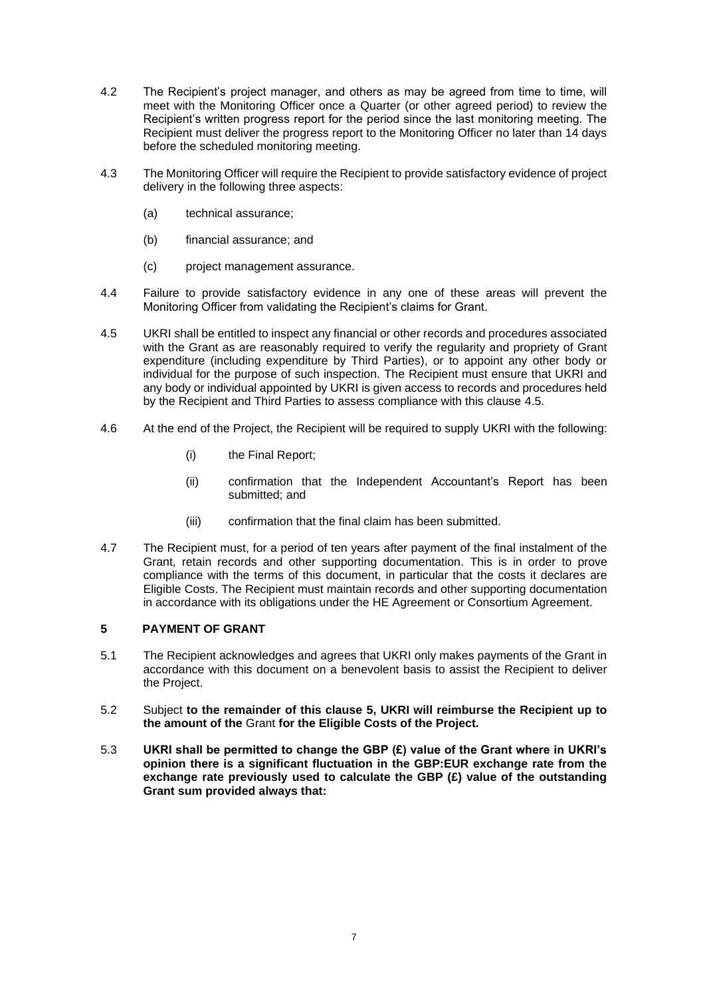- 4.2 The Recipient's project manager, and others as may be agreed from time to time, will meet with the Monitoring Officer once a Quarter (or other agreed period) to review the Recipient's written progress report for the period since the last monitoring meeting. The Recipient must deliver the progress report to the Monitoring Officer no later than 14 days before the scheduled monitoring meeting.
- 4.3 The Monitoring Officer will require the Recipient to provide satisfactory evidence of project delivery in the following three aspects:
	- (a) technical assurance;
	- (b) financial assurance; and
	- (c) project management assurance.
- 4.4 Failure to provide satisfactory evidence in any one of these areas will prevent the Monitoring Officer from validating the Recipient's claims for Grant.
- <span id="page-6-1"></span>4.5 UKRI shall be entitled to inspect any financial or other records and procedures associated with the Grant as are reasonably required to verify the regularity and propriety of Grant expenditure (including expenditure by Third Parties), or to appoint any other body or individual for the purpose of such inspection. The Recipient must ensure that UKRI and any body or individual appointed by UKRI is given access to records and procedures held by the Recipient and Third Parties to assess compliance with this clause [4.5.](#page-6-1)
- 4.6 At the end of the Project, the Recipient will be required to supply UKRI with the following:
	- (i) the Final Report;
	- (ii) confirmation that the Independent Accountant's Report has been submitted; and
	- (iii) confirmation that the final claim has been submitted.
- 4.7 The Recipient must, for a period of ten years after payment of the final instalment of the Grant, retain records and other supporting documentation. This is in order to prove compliance with the terms of this document, in particular that the costs it declares are Eligible Costs. The Recipient must maintain records and other supporting documentation in accordance with its obligations under the HE Agreement or Consortium Agreement.

## <span id="page-6-2"></span>**5 PAYMENT OF GRANT**

- 5.1 The Recipient acknowledges and agrees that UKRI only makes payments of the Grant in accordance with this document on a benevolent basis to assist the Recipient to deliver the Project.
- 5.2 Subject **to the remainder of this clause [5,](#page-6-2) UKRI will reimburse the Recipient up to the amount of the** Grant **for the Eligible Costs of the Project.**
- <span id="page-6-0"></span>5.3 **UKRI shall be permitted to change the GBP (£) value of the Grant where in UKRI's opinion there is a significant fluctuation in the GBP:EUR exchange rate from the exchange rate previously used to calculate the GBP (£) value of the outstanding Grant sum provided always that:**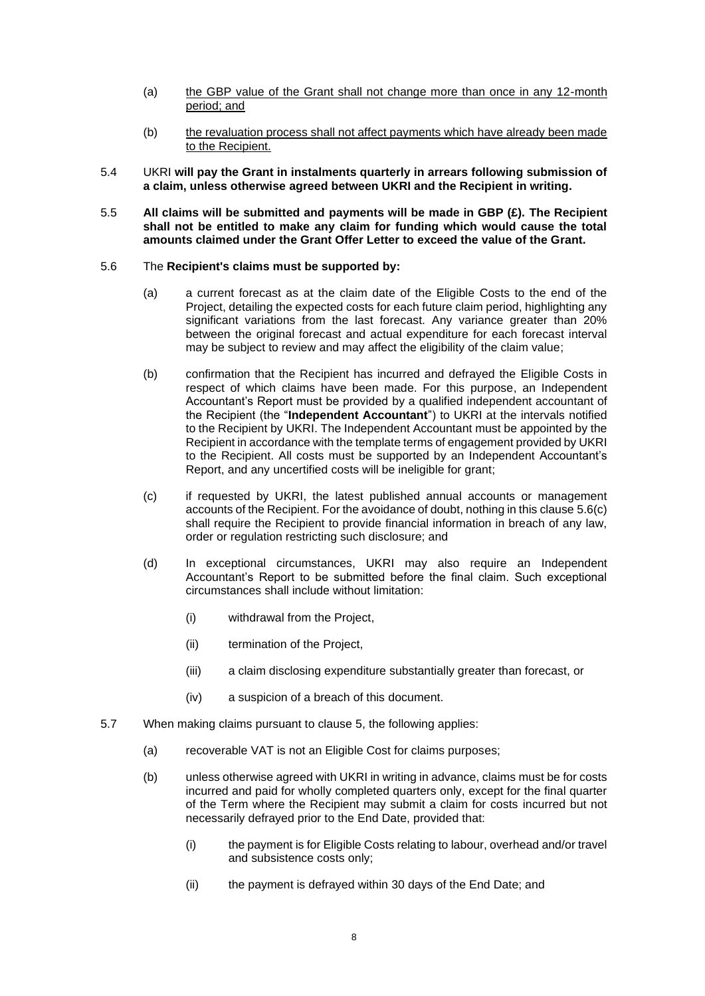- (a) the GBP value of the Grant shall not change more than once in any 12-month period; and
- (b) the revaluation process shall not affect payments which have already been made to the Recipient.
- 5.4 UKRI **will pay the Grant in instalments quarterly in arrears following submission of a claim, unless otherwise agreed between UKRI and the Recipient in writing.**
- 5.5 **All claims will be submitted and payments will be made in GBP (£). The Recipient shall not be entitled to make any claim for funding which would cause the total amounts claimed under the Grant Offer Letter to exceed the value of the Grant.**

#### <span id="page-7-3"></span>5.6 The **Recipient's claims must be supported by:**

- (a) a current forecast as at the claim date of the Eligible Costs to the end of the Project, detailing the expected costs for each future claim period, highlighting any significant variations from the last forecast. Any variance greater than 20% between the original forecast and actual expenditure for each forecast interval may be subject to review and may affect the eligibility of the claim value;
- <span id="page-7-0"></span>(b) confirmation that the Recipient has incurred and defrayed the Eligible Costs in respect of which claims have been made. For this purpose, an Independent Accountant's Report must be provided by a qualified independent accountant of the Recipient (the "**Independent Accountant**") to UKRI at the intervals notified to the Recipient by UKRI. The Independent Accountant must be appointed by the Recipient in accordance with the template terms of engagement provided by UKRI to the Recipient. All costs must be supported by an Independent Accountant's Report, and any uncertified costs will be ineligible for grant;
- <span id="page-7-1"></span>(c) if requested by UKRI, the latest published annual accounts or management accounts of the Recipient. For the avoidance of doubt, nothing in this clause [5.6\(c\)](#page-7-1) shall require the Recipient to provide financial information in breach of any law, order or regulation restricting such disclosure; and
- (d) In exceptional circumstances, UKRI may also require an Independent Accountant's Report to be submitted before the final claim. Such exceptional circumstances shall include without limitation:
	- (i) withdrawal from the Project,
	- (ii) termination of the Project,
	- (iii) a claim disclosing expenditure substantially greater than forecast, or
	- (iv) a suspicion of a breach of this document.
- <span id="page-7-2"></span>5.7 When making claims pursuant to clause [5,](#page-6-2) the following applies:
	- (a) recoverable VAT is not an Eligible Cost for claims purposes;
	- (b) unless otherwise agreed with UKRI in writing in advance, claims must be for costs incurred and paid for wholly completed quarters only, except for the final quarter of the Term where the Recipient may submit a claim for costs incurred but not necessarily defrayed prior to the End Date, provided that:
		- (i) the payment is for Eligible Costs relating to labour, overhead and/or travel and subsistence costs only;
		- (ii) the payment is defrayed within 30 days of the End Date; and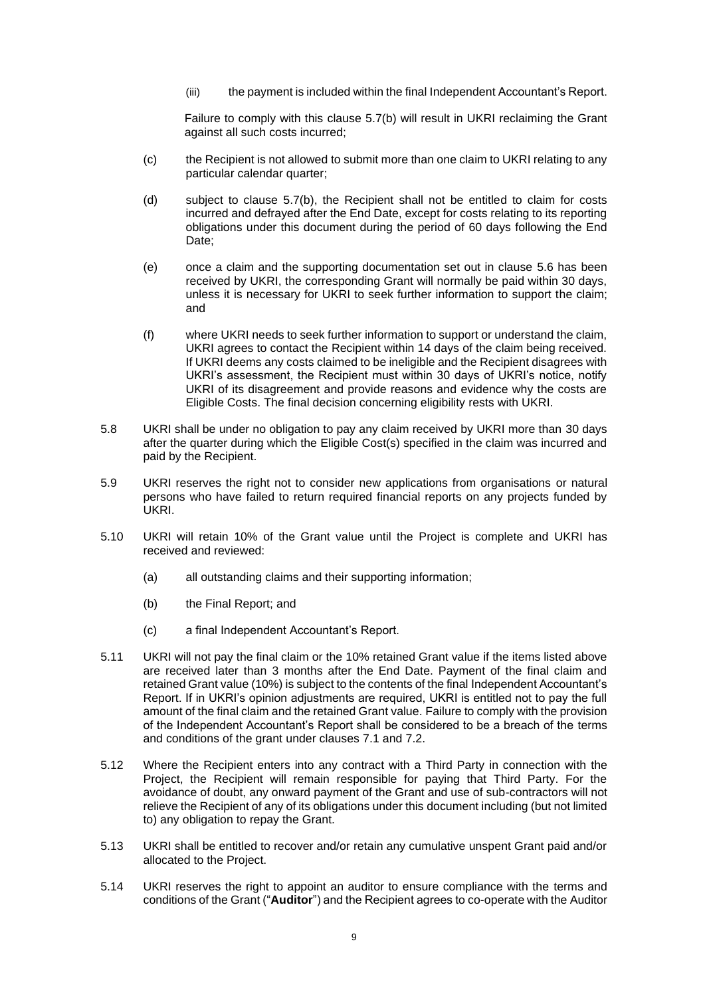(iii) the payment is included within the final Independent Accountant's Report.

Failure to comply with this clause [5.7\(b\)](#page-7-2) will result in UKRI reclaiming the Grant against all such costs incurred;

- (c) the Recipient is not allowed to submit more than one claim to UKRI relating to any particular calendar quarter;
- (d) subject to clause [5.7\(b\),](#page-7-2) the Recipient shall not be entitled to claim for costs incurred and defrayed after the End Date, except for costs relating to its reporting obligations under this document during the period of 60 days following the End Date:
- (e) once a claim and the supporting documentation set out in clause [5.6](#page-7-3) has been received by UKRI, the corresponding Grant will normally be paid within 30 days, unless it is necessary for UKRI to seek further information to support the claim; and
- (f) where UKRI needs to seek further information to support or understand the claim, UKRI agrees to contact the Recipient within 14 days of the claim being received. If UKRI deems any costs claimed to be ineligible and the Recipient disagrees with UKRI's assessment, the Recipient must within 30 days of UKRI's notice, notify UKRI of its disagreement and provide reasons and evidence why the costs are Eligible Costs. The final decision concerning eligibility rests with UKRI.
- 5.8 UKRI shall be under no obligation to pay any claim received by UKRI more than 30 days after the quarter during which the Eligible Cost(s) specified in the claim was incurred and paid by the Recipient.
- 5.9 UKRI reserves the right not to consider new applications from organisations or natural persons who have failed to return required financial reports on any projects funded by UKRI.
- 5.10 UKRI will retain 10% of the Grant value until the Project is complete and UKRI has received and reviewed:
	- (a) all outstanding claims and their supporting information;
	- (b) the Final Report; and
	- (c) a final Independent Accountant's Report.
- 5.11 UKRI will not pay the final claim or the 10% retained Grant value if the items listed above are received later than 3 months after the End Date. Payment of the final claim and retained Grant value (10%) is subject to the contents of the final Independent Accountant's Report. If in UKRI's opinion adjustments are required, UKRI is entitled not to pay the full amount of the final claim and the retained Grant value. Failure to comply with the provision of the Independent Accountant's Report shall be considered to be a breach of the terms and conditions of the grant under clauses [7.1](#page-9-0) and [7.2.](#page-10-0)
- 5.12 Where the Recipient enters into any contract with a Third Party in connection with the Project, the Recipient will remain responsible for paying that Third Party. For the avoidance of doubt, any onward payment of the Grant and use of sub-contractors will not relieve the Recipient of any of its obligations under this document including (but not limited to) any obligation to repay the Grant.
- 5.13 UKRI shall be entitled to recover and/or retain any cumulative unspent Grant paid and/or allocated to the Project.
- <span id="page-8-0"></span>5.14 UKRI reserves the right to appoint an auditor to ensure compliance with the terms and conditions of the Grant ("**Auditor**") and the Recipient agrees to co-operate with the Auditor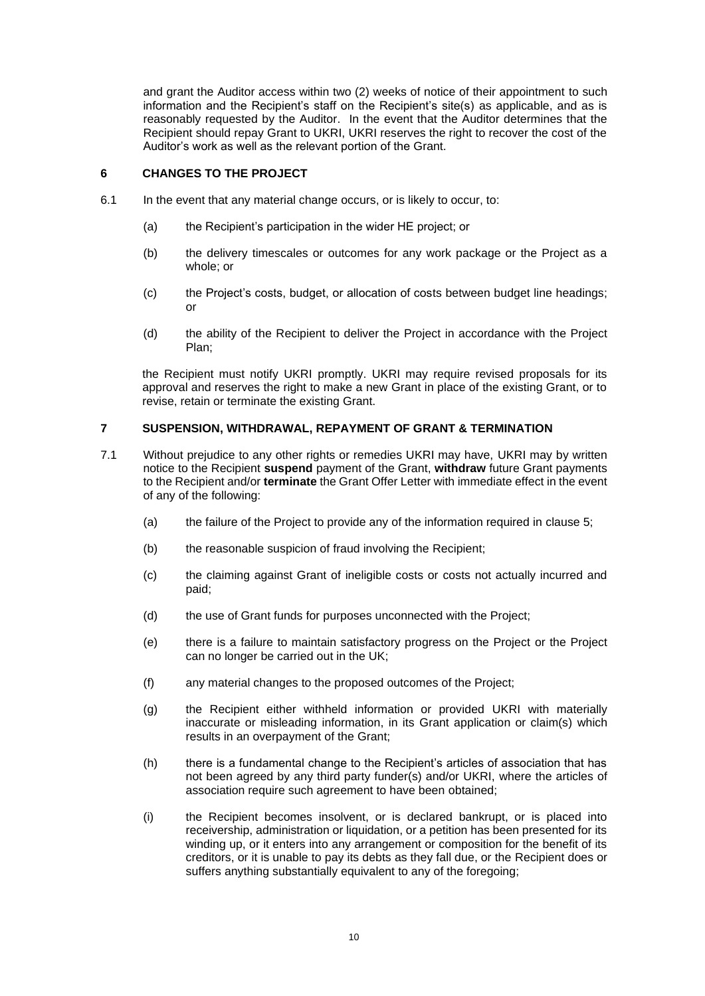and grant the Auditor access within two (2) weeks of notice of their appointment to such information and the Recipient's staff on the Recipient's site(s) as applicable, and as is reasonably requested by the Auditor. In the event that the Auditor determines that the Recipient should repay Grant to UKRI, UKRI reserves the right to recover the cost of the Auditor's work as well as the relevant portion of the Grant.

#### **6 CHANGES TO THE PROJECT**

- 6.1 In the event that any material change occurs, or is likely to occur, to:
	- (a) the Recipient's participation in the wider HE project; or
	- (b) the delivery timescales or outcomes for any work package or the Project as a whole; or
	- (c) the Project's costs, budget, or allocation of costs between budget line headings; or
	- (d) the ability of the Recipient to deliver the Project in accordance with the Project Plan;

the Recipient must notify UKRI promptly. UKRI may require revised proposals for its approval and reserves the right to make a new Grant in place of the existing Grant, or to revise, retain or terminate the existing Grant.

#### <span id="page-9-1"></span>**7 SUSPENSION, WITHDRAWAL, REPAYMENT OF GRANT & TERMINATION**

- <span id="page-9-0"></span>7.1 Without prejudice to any other rights or remedies UKRI may have, UKRI may by written notice to the Recipient **suspend** payment of the Grant, **withdraw** future Grant payments to the Recipient and/or **terminate** the Grant Offer Letter with immediate effect in the event of any of the following:
	- (a) the failure of the Project to provide any of the information required in clause [5;](#page-6-2)
	- (b) the reasonable suspicion of fraud involving the Recipient;
	- (c) the claiming against Grant of ineligible costs or costs not actually incurred and paid;
	- (d) the use of Grant funds for purposes unconnected with the Project;
	- (e) there is a failure to maintain satisfactory progress on the Project or the Project can no longer be carried out in the UK;
	- (f) any material changes to the proposed outcomes of the Project;
	- (g) the Recipient either withheld information or provided UKRI with materially inaccurate or misleading information, in its Grant application or claim(s) which results in an overpayment of the Grant;
	- (h) there is a fundamental change to the Recipient's articles of association that has not been agreed by any third party funder(s) and/or UKRI, where the articles of association require such agreement to have been obtained;
	- (i) the Recipient becomes insolvent, or is declared bankrupt, or is placed into receivership, administration or liquidation, or a petition has been presented for its winding up, or it enters into any arrangement or composition for the benefit of its creditors, or it is unable to pay its debts as they fall due, or the Recipient does or suffers anything substantially equivalent to any of the foregoing;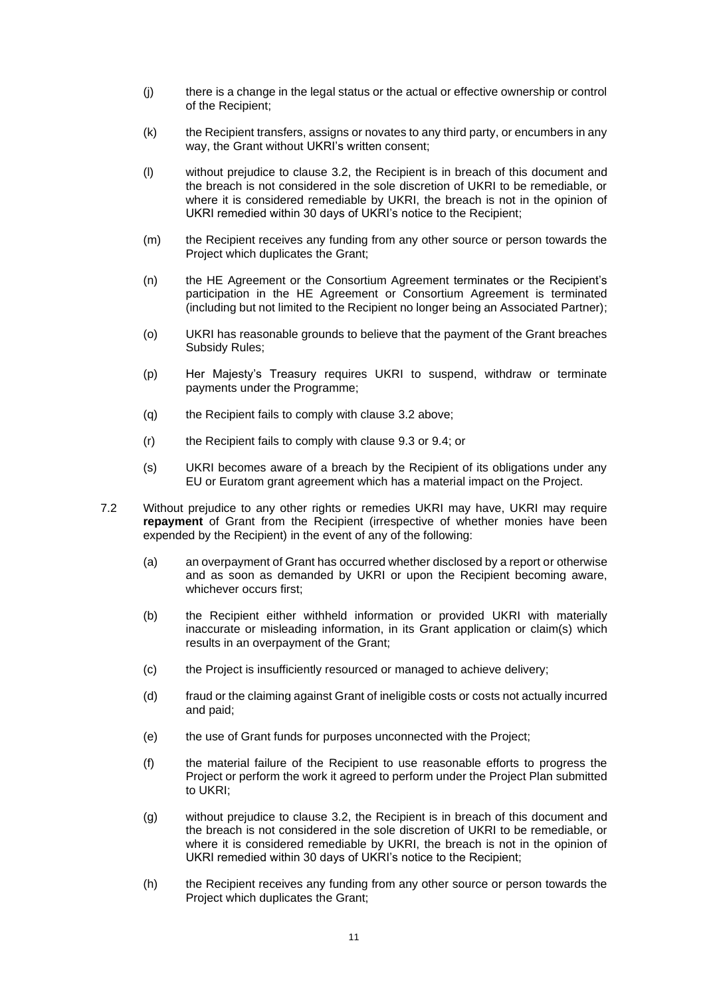- (j) there is a change in the legal status or the actual or effective ownership or control of the Recipient;
- (k) the Recipient transfers, assigns or novates to any third party, or encumbers in any way, the Grant without UKRI's written consent;
- (l) without prejudice to clause [3.2,](#page-5-1) the Recipient is in breach of this document and the breach is not considered in the sole discretion of UKRI to be remediable, or where it is considered remediable by UKRI, the breach is not in the opinion of UKRI remedied within 30 days of UKRI's notice to the Recipient;
- (m) the Recipient receives any funding from any other source or person towards the Project which duplicates the Grant;
- (n) the HE Agreement or the Consortium Agreement terminates or the Recipient's participation in the HE Agreement or Consortium Agreement is terminated (including but not limited to the Recipient no longer being an Associated Partner);
- (o) UKRI has reasonable grounds to believe that the payment of the Grant breaches Subsidy Rules;
- (p) Her Majesty's Treasury requires UKRI to suspend, withdraw or terminate payments under the Programme;
- (q) the Recipient fails to comply with clause [3.2](#page-5-1) above;
- (r) the Recipient fails to comply with clause [9.3](#page-12-0) or [9.4;](#page-12-1) or
- (s) UKRI becomes aware of a breach by the Recipient of its obligations under any EU or Euratom grant agreement which has a material impact on the Project.
- <span id="page-10-0"></span>7.2 Without prejudice to any other rights or remedies UKRI may have, UKRI may require **repayment** of Grant from the Recipient (irrespective of whether monies have been expended by the Recipient) in the event of any of the following:
	- (a) an overpayment of Grant has occurred whether disclosed by a report or otherwise and as soon as demanded by UKRI or upon the Recipient becoming aware, whichever occurs first:
	- (b) the Recipient either withheld information or provided UKRI with materially inaccurate or misleading information, in its Grant application or claim(s) which results in an overpayment of the Grant;
	- (c) the Project is insufficiently resourced or managed to achieve delivery;
	- (d) fraud or the claiming against Grant of ineligible costs or costs not actually incurred and paid;
	- (e) the use of Grant funds for purposes unconnected with the Project;
	- (f) the material failure of the Recipient to use reasonable efforts to progress the Project or perform the work it agreed to perform under the Project Plan submitted to UKRI;
	- (g) without prejudice to clause [3.2,](#page-5-1) the Recipient is in breach of this document and the breach is not considered in the sole discretion of UKRI to be remediable, or where it is considered remediable by UKRI, the breach is not in the opinion of UKRI remedied within 30 days of UKRI's notice to the Recipient;
	- (h) the Recipient receives any funding from any other source or person towards the Project which duplicates the Grant;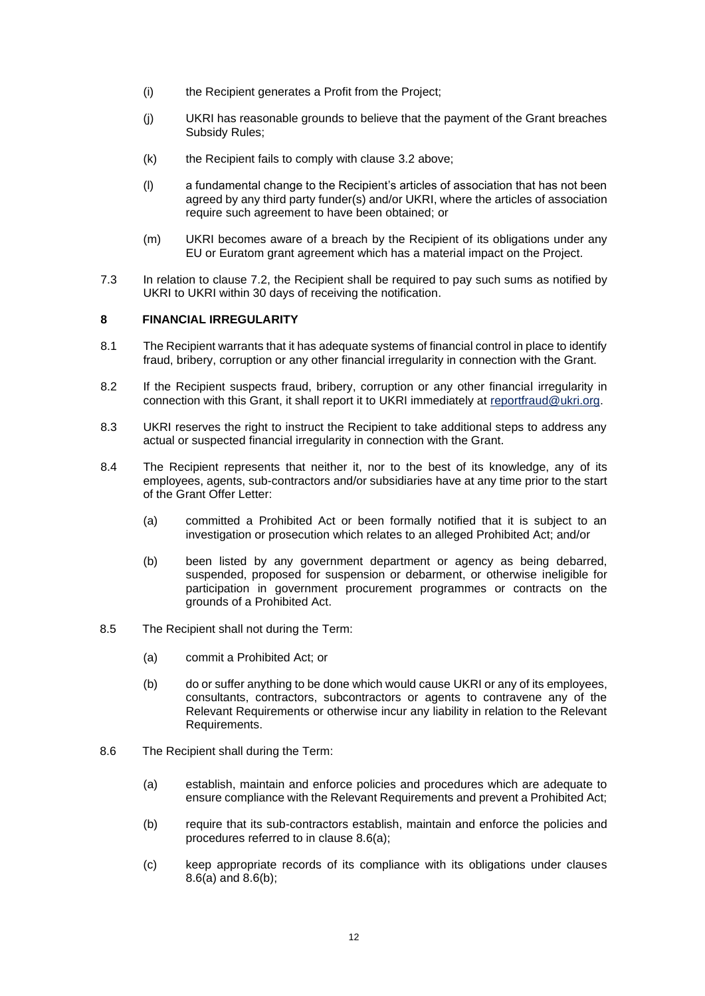- (i) the Recipient generates a Profit from the Project;
- (j) UKRI has reasonable grounds to believe that the payment of the Grant breaches Subsidy Rules;
- (k) the Recipient fails to comply with clause [3.2](#page-5-1) above;
- (l) a fundamental change to the Recipient's articles of association that has not been agreed by any third party funder(s) and/or UKRI, where the articles of association require such agreement to have been obtained; or
- (m) UKRI becomes aware of a breach by the Recipient of its obligations under any EU or Euratom grant agreement which has a material impact on the Project.
- 7.3 In relation to clause [7.2,](#page-10-0) the Recipient shall be required to pay such sums as notified by UKRI to UKRI within 30 days of receiving the notification.

#### <span id="page-11-2"></span>**8 FINANCIAL IRREGULARITY**

- 8.1 The Recipient warrants that it has adequate systems of financial control in place to identify fraud, bribery, corruption or any other financial irregularity in connection with the Grant.
- 8.2 If the Recipient suspects fraud, bribery, corruption or any other financial irregularity in connection with this Grant, it shall report it to UKRI immediately at [reportfraud@ukri.org.](mailto:reportfraud@ukri.org)
- 8.3 UKRI reserves the right to instruct the Recipient to take additional steps to address any actual or suspected financial irregularity in connection with the Grant.
- 8.4 The Recipient represents that neither it, nor to the best of its knowledge, any of its employees, agents, sub-contractors and/or subsidiaries have at any time prior to the start of the Grant Offer Letter:
	- (a) committed a Prohibited Act or been formally notified that it is subject to an investigation or prosecution which relates to an alleged Prohibited Act; and/or
	- (b) been listed by any government department or agency as being debarred, suspended, proposed for suspension or debarment, or otherwise ineligible for participation in government procurement programmes or contracts on the grounds of a Prohibited Act.
- 8.5 The Recipient shall not during the Term:
	- (a) commit a Prohibited Act; or
	- (b) do or suffer anything to be done which would cause UKRI or any of its employees, consultants, contractors, subcontractors or agents to contravene any of the Relevant Requirements or otherwise incur any liability in relation to the Relevant Requirements.
- <span id="page-11-1"></span><span id="page-11-0"></span>8.6 The Recipient shall during the Term:
	- (a) establish, maintain and enforce policies and procedures which are adequate to ensure compliance with the Relevant Requirements and prevent a Prohibited Act;
	- (b) require that its sub-contractors establish, maintain and enforce the policies and procedures referred to in clause [8.6\(a\);](#page-11-0)
	- (c) keep appropriate records of its compliance with its obligations under clauses [8.6\(a\)](#page-11-0) and [8.6\(b\);](#page-11-1)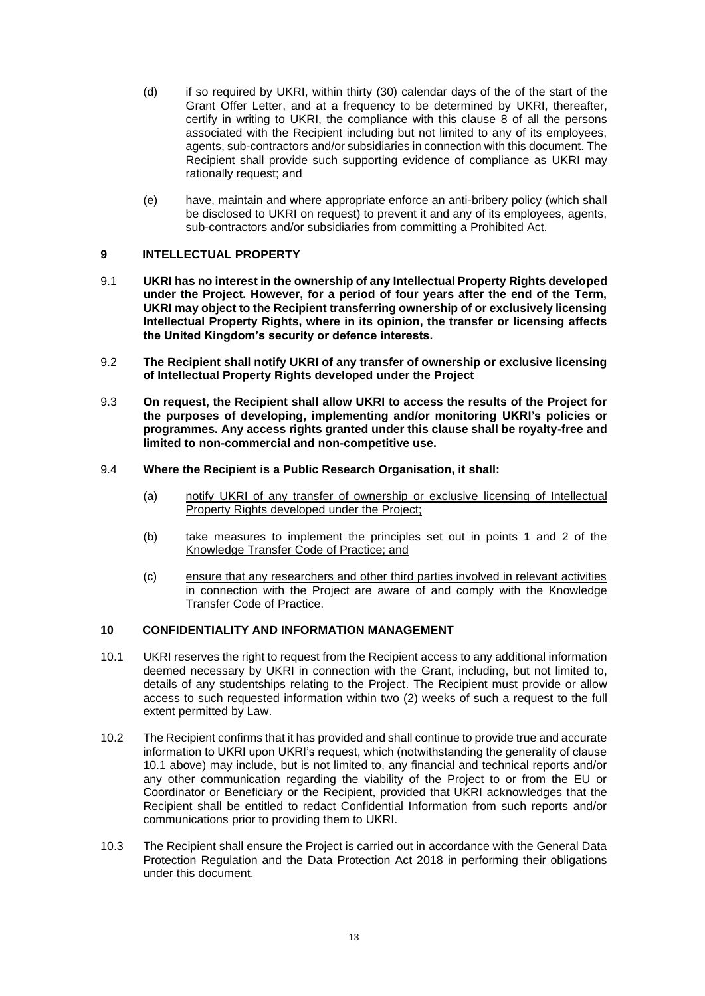- (d) if so required by UKRI, within thirty (30) calendar days of the of the start of the Grant Offer Letter, and at a frequency to be determined by UKRI, thereafter, certify in writing to UKRI, the compliance with this clause [8](#page-11-2) of all the persons associated with the Recipient including but not limited to any of its employees, agents, sub-contractors and/or subsidiaries in connection with this document. The Recipient shall provide such supporting evidence of compliance as UKRI may rationally request; and
- (e) have, maintain and where appropriate enforce an anti-bribery policy (which shall be disclosed to UKRI on request) to prevent it and any of its employees, agents, sub-contractors and/or subsidiaries from committing a Prohibited Act.

### **9 INTELLECTUAL PROPERTY**

- 9.1 **UKRI has no interest in the ownership of any Intellectual Property Rights developed under the Project. However, for a period of four years after the end of the Term, UKRI may object to the Recipient transferring ownership of or exclusively licensing Intellectual Property Rights, where in its opinion, the transfer or licensing affects the United Kingdom's security or defence interests.**
- 9.2 **The Recipient shall notify UKRI of any transfer of ownership or exclusive licensing of Intellectual Property Rights developed under the Project**
- <span id="page-12-0"></span>9.3 **On request, the Recipient shall allow UKRI to access the results of the Project for the purposes of developing, implementing and/or monitoring UKRI's policies or programmes. Any access rights granted under this clause shall be royalty-free and limited to non-commercial and non-competitive use.**
- <span id="page-12-1"></span>9.4 **Where the Recipient is a Public Research Organisation, it shall:**
	- (a) notify UKRI of any transfer of ownership or exclusive licensing of Intellectual Property Rights developed under the Project;
	- (b) take measures to implement the principles set out in points 1 and 2 of the Knowledge Transfer Code of Practice; and
	- (c) ensure that any researchers and other third parties involved in relevant activities in connection with the Project are aware of and comply with the Knowledge Transfer Code of Practice.

### **10 CONFIDENTIALITY AND INFORMATION MANAGEMENT**

- <span id="page-12-2"></span>10.1 UKRI reserves the right to request from the Recipient access to any additional information deemed necessary by UKRI in connection with the Grant, including, but not limited to, details of any studentships relating to the Project. The Recipient must provide or allow access to such requested information within two (2) weeks of such a request to the full extent permitted by Law.
- 10.2 The Recipient confirms that it has provided and shall continue to provide true and accurate information to UKRI upon UKRI's request, which (notwithstanding the generality of clause [10.1](#page-12-2) above) may include, but is not limited to, any financial and technical reports and/or any other communication regarding the viability of the Project to or from the EU or Coordinator or Beneficiary or the Recipient, provided that UKRI acknowledges that the Recipient shall be entitled to redact Confidential Information from such reports and/or communications prior to providing them to UKRI.
- 10.3 The Recipient shall ensure the Project is carried out in accordance with the General Data Protection Regulation and the Data Protection Act 2018 in performing their obligations under this document.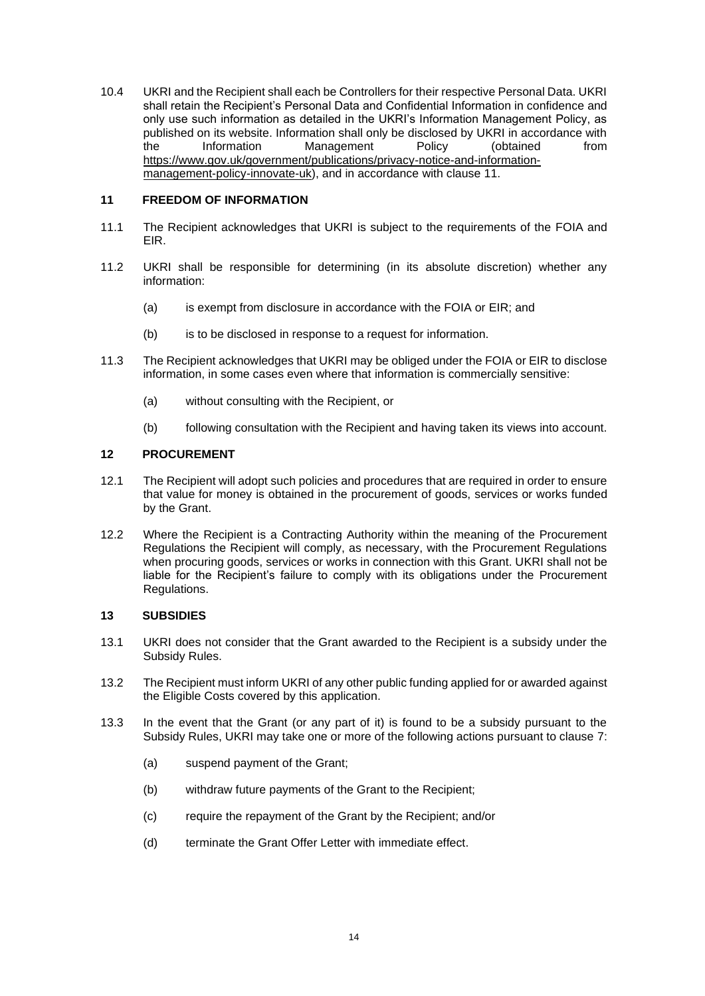<span id="page-13-0"></span>10.4 UKRI and the Recipient shall each be Controllers for their respective Personal Data. UKRI shall retain the Recipient's Personal Data and Confidential Information in confidence and only use such information as detailed in the UKRI's Information Management Policy, as published on its website. Information shall only be disclosed by UKRI in accordance with the Information Management Policy (obtained from [https://www.gov.uk/government/publications/privacy-notice-and-information](https://www.gov.uk/government/publications/privacy-notice-and-information-management-policy-innovate-uk)[management-policy-innovate-uk\)](https://www.gov.uk/government/publications/privacy-notice-and-information-management-policy-innovate-uk), and in accordance with clause [11.](#page-13-1)

#### <span id="page-13-1"></span>**11 FREEDOM OF INFORMATION**

- 11.1 The Recipient acknowledges that UKRI is subject to the requirements of the FOIA and EIR.
- 11.2 UKRI shall be responsible for determining (in its absolute discretion) whether any information:
	- (a) is exempt from disclosure in accordance with the FOIA or EIR; and
	- (b) is to be disclosed in response to a request for information.
- 11.3 The Recipient acknowledges that UKRI may be obliged under the FOIA or EIR to disclose information, in some cases even where that information is commercially sensitive:
	- (a) without consulting with the Recipient, or
	- (b) following consultation with the Recipient and having taken its views into account.

#### **12 PROCUREMENT**

- 12.1 The Recipient will adopt such policies and procedures that are required in order to ensure that value for money is obtained in the procurement of goods, services or works funded by the Grant.
- 12.2 Where the Recipient is a Contracting Authority within the meaning of the Procurement Regulations the Recipient will comply, as necessary, with the Procurement Regulations when procuring goods, services or works in connection with this Grant. UKRI shall not be liable for the Recipient's failure to comply with its obligations under the Procurement Regulations.

#### **13 SUBSIDIES**

- 13.1 UKRI does not consider that the Grant awarded to the Recipient is a subsidy under the Subsidy Rules.
- 13.2 The Recipient must inform UKRI of any other public funding applied for or awarded against the Eligible Costs covered by this application.
- 13.3 In the event that the Grant (or any part of it) is found to be a subsidy pursuant to the Subsidy Rules, UKRI may take one or more of the following actions pursuant to clause [7:](#page-9-1)
	- (a) suspend payment of the Grant;
	- (b) withdraw future payments of the Grant to the Recipient;
	- (c) require the repayment of the Grant by the Recipient; and/or
	- (d) terminate the Grant Offer Letter with immediate effect.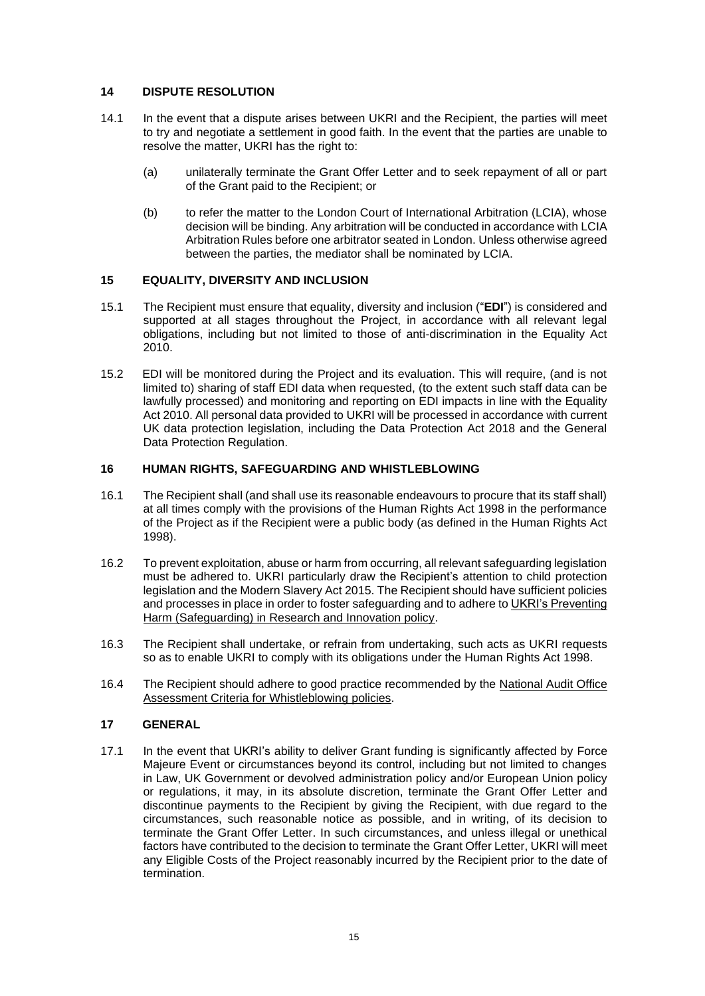### **14 DISPUTE RESOLUTION**

- 14.1 In the event that a dispute arises between UKRI and the Recipient, the parties will meet to try and negotiate a settlement in good faith. In the event that the parties are unable to resolve the matter, UKRI has the right to:
	- (a) unilaterally terminate the Grant Offer Letter and to seek repayment of all or part of the Grant paid to the Recipient; or
	- (b) to refer the matter to the London Court of International Arbitration (LCIA), whose decision will be binding. Any arbitration will be conducted in accordance with LCIA Arbitration Rules before one arbitrator seated in London. Unless otherwise agreed between the parties, the mediator shall be nominated by LCIA.

# **15 EQUALITY, DIVERSITY AND INCLUSION**

- 15.1 The Recipient must ensure that equality, diversity and inclusion ("**EDI**") is considered and supported at all stages throughout the Project, in accordance with all relevant legal obligations, including but not limited to those of anti-discrimination in the Equality Act 2010.
- 15.2 EDI will be monitored during the Project and its evaluation. This will require, (and is not limited to) sharing of staff EDI data when requested, (to the extent such staff data can be lawfully processed) and monitoring and reporting on EDI impacts in line with the Equality Act 2010. All personal data provided to UKRI will be processed in accordance with current UK data protection legislation, including the Data Protection Act 2018 and the General Data Protection Regulation.

### **16 HUMAN RIGHTS, SAFEGUARDING AND WHISTLEBLOWING**

- 16.1 The Recipient shall (and shall use its reasonable endeavours to procure that its staff shall) at all times comply with the provisions of the Human Rights Act 1998 in the performance of the Project as if the Recipient were a public body (as defined in the Human Rights Act 1998).
- 16.2 To prevent exploitation, abuse or harm from occurring, all relevant safeguarding legislation must be adhered to. UKRI particularly draw the Recipient's attention to child protection legislation and the Modern Slavery Act 2015. The Recipient should have sufficient policies and processes in place in order to foster safeguarding and to adhere to [UKRI's Preventing](https://www.ukri.org/wp-content/uploads/2020/10/UKRI-050920-PreventingHarmSafeguardingInResearchAndInnovationPolicy.pdf)  [Harm \(Safeguarding\) in Research and Innovation policy.](https://www.ukri.org/wp-content/uploads/2020/10/UKRI-050920-PreventingHarmSafeguardingInResearchAndInnovationPolicy.pdf)
- 16.3 The Recipient shall undertake, or refrain from undertaking, such acts as UKRI requests so as to enable UKRI to comply with its obligations under the Human Rights Act 1998.
- 16.4 The Recipient should adhere to good practice recommended by the [National Audit Office](https://www.nao.org.uk/wp-content/uploads/2014/01/Assessment-criteria-for-whistleblowing-policies.pdf)  [Assessment Criteria for Whistleblowing policies.](https://www.nao.org.uk/wp-content/uploads/2014/01/Assessment-criteria-for-whistleblowing-policies.pdf)

### **17 GENERAL**

17.1 In the event that UKRI's ability to deliver Grant funding is significantly affected by Force Majeure Event or circumstances beyond its control, including but not limited to changes in Law, UK Government or devolved administration policy and/or European Union policy or regulations, it may, in its absolute discretion, terminate the Grant Offer Letter and discontinue payments to the Recipient by giving the Recipient, with due regard to the circumstances, such reasonable notice as possible, and in writing, of its decision to terminate the Grant Offer Letter. In such circumstances, and unless illegal or unethical factors have contributed to the decision to terminate the Grant Offer Letter, UKRI will meet any Eligible Costs of the Project reasonably incurred by the Recipient prior to the date of termination.